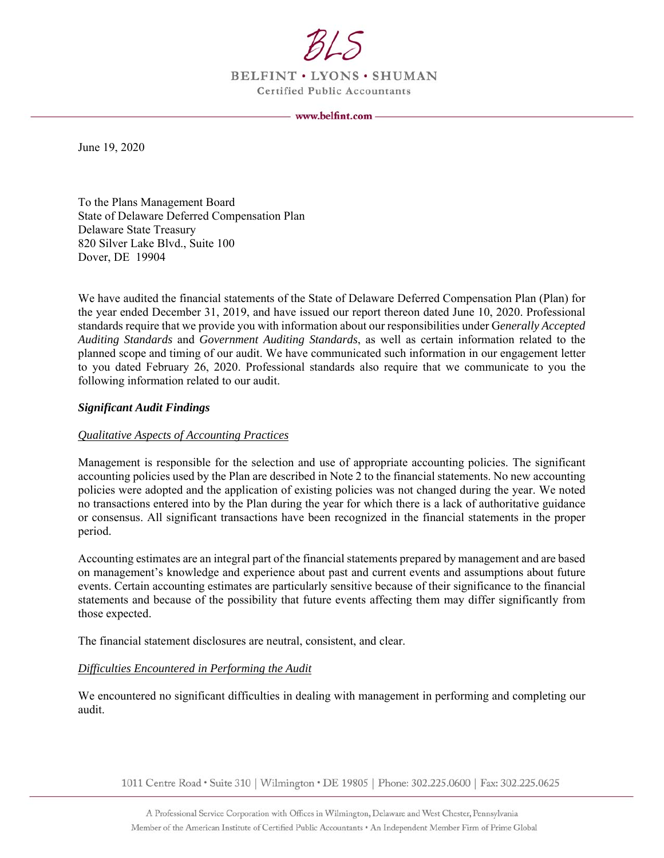

BELFINT . LYONS . SHUMAN **Certified Public Accountants** 

www.belfint.com -

June 19, 2020

To the Plans Management Board State of Delaware Deferred Compensation Plan Delaware State Treasury 820 Silver Lake Blvd., Suite 100 Dover, DE 19904

We have audited the financial statements of the State of Delaware Deferred Compensation Plan (Plan) for the year ended December 31, 2019, and have issued our report thereon dated June 10, 2020. Professional standards require that we provide you with information about our responsibilities under G*enerally Accepted Auditing Standards* and *Government Auditing Standards*, as well as certain information related to the planned scope and timing of our audit. We have communicated such information in our engagement letter to you dated February 26, 2020. Professional standards also require that we communicate to you the following information related to our audit.

## *Significant Audit Findings*

#### *Qualitative Aspects of Accounting Practices*

Management is responsible for the selection and use of appropriate accounting policies. The significant accounting policies used by the Plan are described in Note 2 to the financial statements. No new accounting policies were adopted and the application of existing policies was not changed during the year. We noted no transactions entered into by the Plan during the year for which there is a lack of authoritative guidance or consensus. All significant transactions have been recognized in the financial statements in the proper period.

Accounting estimates are an integral part of the financial statements prepared by management and are based on management's knowledge and experience about past and current events and assumptions about future events. Certain accounting estimates are particularly sensitive because of their significance to the financial statements and because of the possibility that future events affecting them may differ significantly from those expected.

The financial statement disclosures are neutral, consistent, and clear.

## *Difficulties Encountered in Performing the Audit*

We encountered no significant difficulties in dealing with management in performing and completing our audit.

1011 Centre Road · Suite 310 | Wilmington · DE 19805 | Phone: 302.225.0600 | Fax: 302.225.0625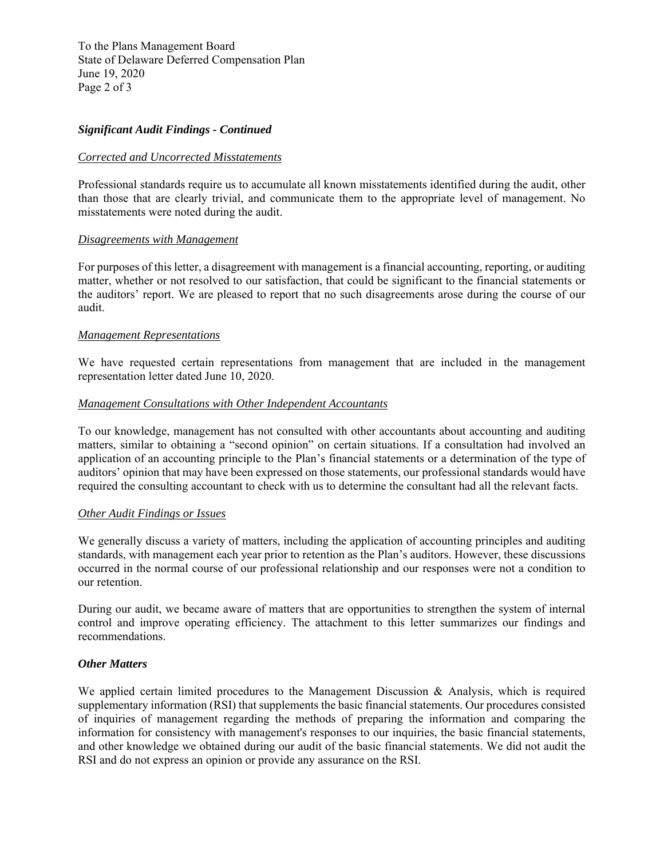To the Plans Management Board State of Delaware Deferred Compensation Plan June 19, 2020 Page 2 of 3

## *Significant Audit Findings - Continued*

#### *Corrected and Uncorrected Misstatements*

Professional standards require us to accumulate all known misstatements identified during the audit, other than those that are clearly trivial, and communicate them to the appropriate level of management. No misstatements were noted during the audit.

## *Disagreements with Management*

For purposes of this letter, a disagreement with management is a financial accounting, reporting, or auditing matter, whether or not resolved to our satisfaction, that could be significant to the financial statements or the auditors' report. We are pleased to report that no such disagreements arose during the course of our audit.

## *Management Representations*

We have requested certain representations from management that are included in the management representation letter dated June 10, 2020.

## *Management Consultations with Other Independent Accountants*

To our knowledge, management has not consulted with other accountants about accounting and auditing matters, similar to obtaining a "second opinion" on certain situations. If a consultation had involved an application of an accounting principle to the Plan's financial statements or a determination of the type of auditors' opinion that may have been expressed on those statements, our professional standards would have required the consulting accountant to check with us to determine the consultant had all the relevant facts.

#### *Other Audit Findings or Issues*

We generally discuss a variety of matters, including the application of accounting principles and auditing standards, with management each year prior to retention as the Plan's auditors. However, these discussions occurred in the normal course of our professional relationship and our responses were not a condition to our retention.

During our audit, we became aware of matters that are opportunities to strengthen the system of internal control and improve operating efficiency. The attachment to this letter summarizes our findings and recommendations.

#### *Other Matters*

We applied certain limited procedures to the Management Discussion & Analysis, which is required supplementary information (RSI) that supplements the basic financial statements. Our procedures consisted of inquiries of management regarding the methods of preparing the information and comparing the information for consistency with management's responses to our inquiries, the basic financial statements, and other knowledge we obtained during our audit of the basic financial statements. We did not audit the RSI and do not express an opinion or provide any assurance on the RSI.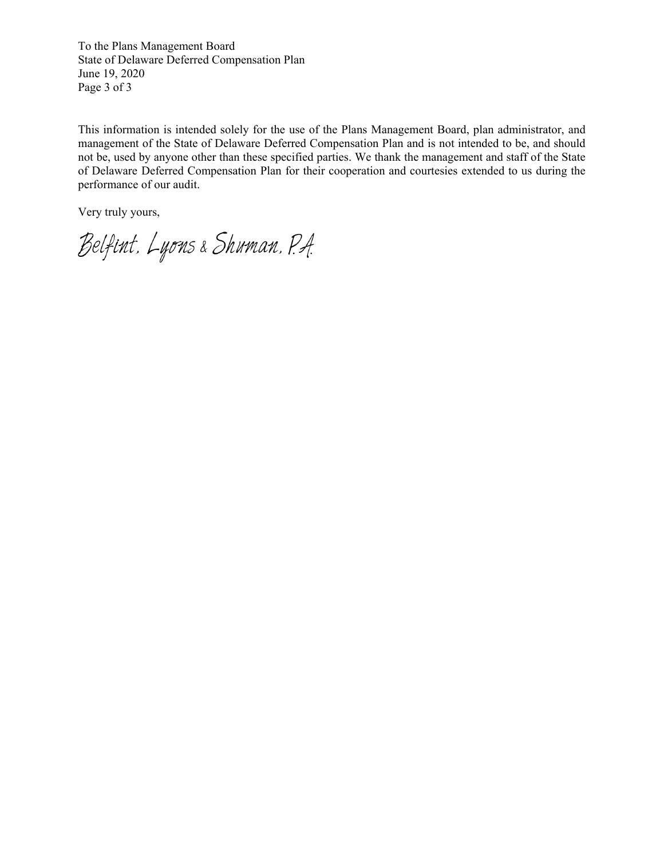To the Plans Management Board State of Delaware Deferred Compensation Plan June 19, 2020 Page 3 of 3

This information is intended solely for the use of the Plans Management Board, plan administrator, and management of the State of Delaware Deferred Compensation Plan and is not intended to be, and should not be, used by anyone other than these specified parties. We thank the management and staff of the State of Delaware Deferred Compensation Plan for their cooperation and courtesies extended to us during the performance of our audit.

Very truly yours,

Belfint. Lyons & Shuman. P.A.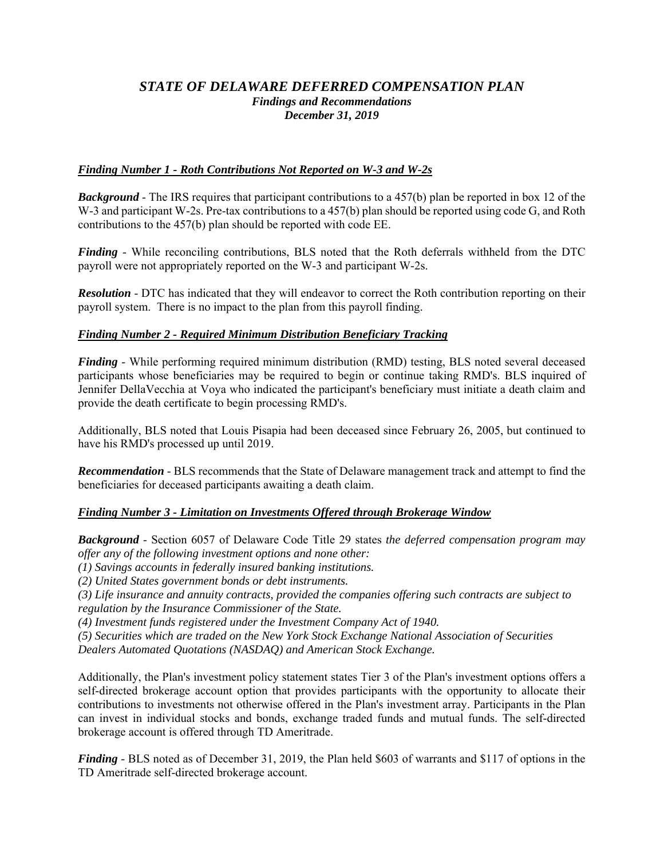# *STATE OF DELAWARE DEFERRED COMPENSATION PLAN Findings and Recommendations December 31, 2019*

# *Finding Number 1 - Roth Contributions Not Reported on W-3 and W-2s*

*Background* - The IRS requires that participant contributions to a 457(b) plan be reported in box 12 of the W-3 and participant W-2s. Pre-tax contributions to a 457(b) plan should be reported using code G, and Roth contributions to the 457(b) plan should be reported with code EE.

*Finding* - While reconciling contributions, BLS noted that the Roth deferrals withheld from the DTC payroll were not appropriately reported on the W-3 and participant W-2s.

*Resolution* - DTC has indicated that they will endeavor to correct the Roth contribution reporting on their payroll system. There is no impact to the plan from this payroll finding.

# *Finding Number 2 - Required Minimum Distribution Beneficiary Tracking*

*Finding* - While performing required minimum distribution (RMD) testing, BLS noted several deceased participants whose beneficiaries may be required to begin or continue taking RMD's. BLS inquired of Jennifer DellaVecchia at Voya who indicated the participant's beneficiary must initiate a death claim and provide the death certificate to begin processing RMD's.

Additionally, BLS noted that Louis Pisapia had been deceased since February 26, 2005, but continued to have his RMD's processed up until 2019.

*Recommendation* - BLS recommends that the State of Delaware management track and attempt to find the beneficiaries for deceased participants awaiting a death claim.

## *Finding Number 3 - Limitation on Investments Offered through Brokerage Window*

*Background* - Section 6057 of Delaware Code Title 29 states *the deferred compensation program may offer any of the following investment options and none other:* 

*(1) Savings accounts in federally insured banking institutions.* 

*(2) United States government bonds or debt instruments.* 

*(3) Life insurance and annuity contracts, provided the companies offering such contracts are subject to regulation by the Insurance Commissioner of the State.* 

*(4) Investment funds registered under the Investment Company Act of 1940.* 

*(5) Securities which are traded on the New York Stock Exchange National Association of Securities* 

*Dealers Automated Quotations (NASDAQ) and American Stock Exchange.* 

Additionally, the Plan's investment policy statement states Tier 3 of the Plan's investment options offers a self-directed brokerage account option that provides participants with the opportunity to allocate their contributions to investments not otherwise offered in the Plan's investment array. Participants in the Plan can invest in individual stocks and bonds, exchange traded funds and mutual funds. The self-directed brokerage account is offered through TD Ameritrade.

*Finding* - BLS noted as of December 31, 2019, the Plan held \$603 of warrants and \$117 of options in the TD Ameritrade self-directed brokerage account.